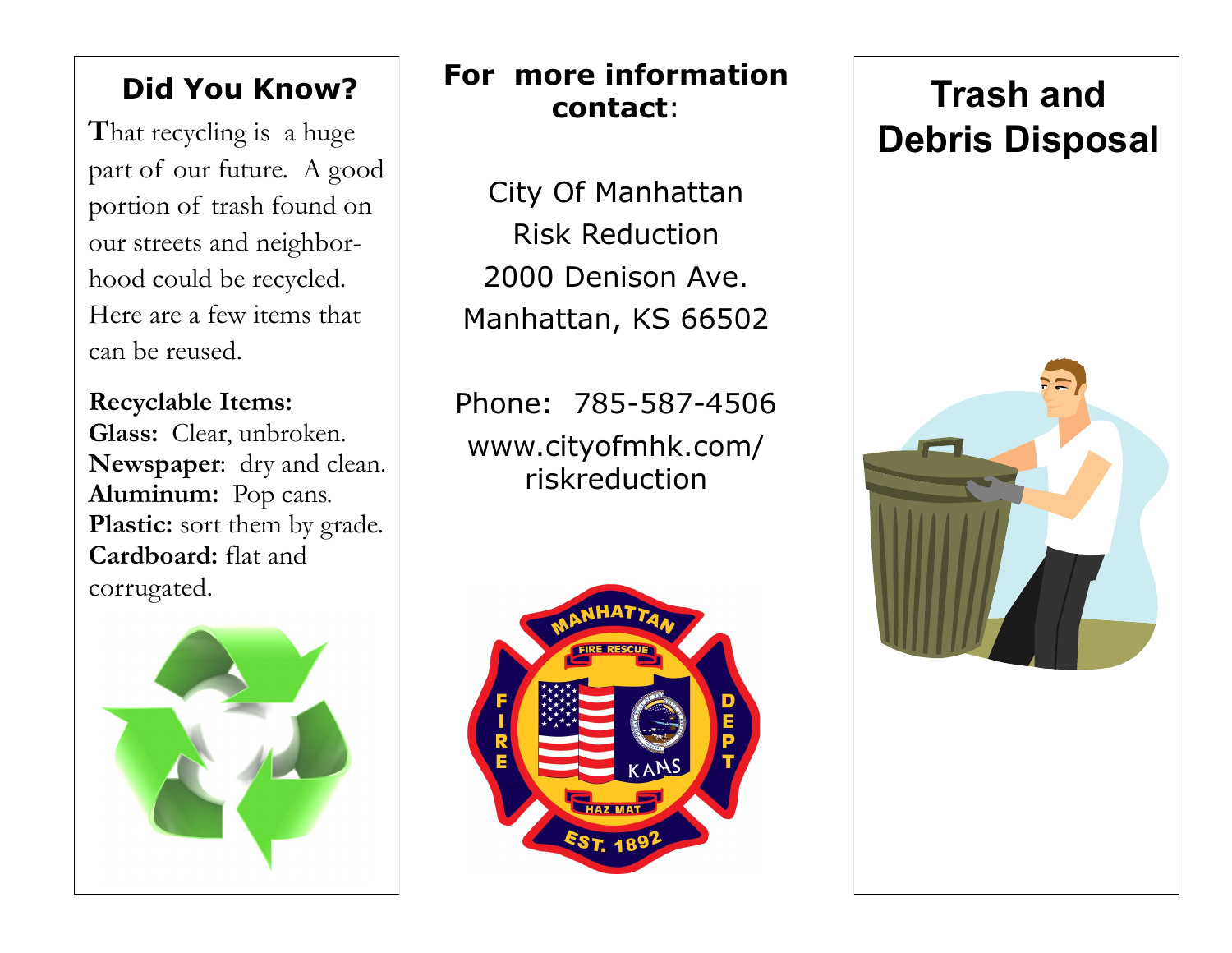### **Did You Know?**

**T**hat recycling is a huge part of our future. A good portion of trash found on our streets and neighborhood could be recycled. Here are a few items that can be reused.

**Recyclable Items: Glass:** Clear, unbroken. **Newspaper**: dry and clean. **Aluminum:** Pop cans. Plastic: sort them by grade. **Cardboard:** flat and corrugated.



#### **For more information contact**:

City Of Manhattan Risk Reduction 2000 Denison Ave. Manhattan, KS 66502

Phone: 785-587-4506 www.cityofmhk.com/ riskreduction



# **Trash and Debris Disposal**